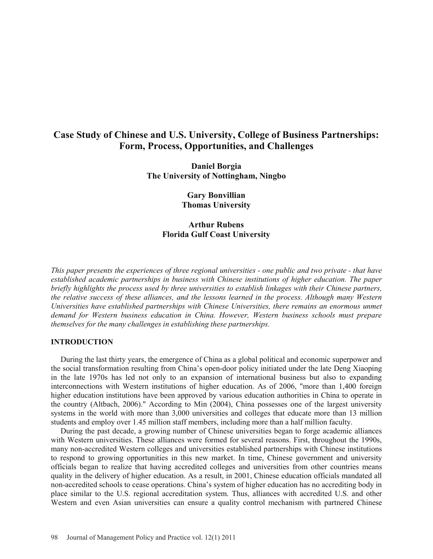# **Case Study of Chinese and U.S. University, College of Business Partnerships: Form, Process, Opportunities, and Challenges**

**Daniel Borgia The University of Nottingham, Ningbo** 

> **Gary Bonvillian Thomas University**

## **Arthur Rubens Florida Gulf Coast University**

*This paper presents the experiences of three regional universities - one public and two private - that have established academic partnerships in business with Chinese institutions of higher education. The paper briefly highlights the process used by three universities to establish linkages with their Chinese partners, the relative success of these alliances, and the lessons learned in the process. Although many Western Universities have established partnerships with Chinese Universities, there remains an enormous unmet demand for Western business education in China. However, Western business schools must prepare themselves for the many challenges in establishing these partnerships.*

## **INTRODUCTION**

 During the last thirty years, the emergence of China as a global political and economic superpower and the social transformation resulting from China's open-door policy initiated under the late Deng Xiaoping in the late 1970s has led not only to an expansion of international business but also to expanding interconnections with Western institutions of higher education. As of 2006, "more than 1,400 foreign higher education institutions have been approved by various education authorities in China to operate in the country (Altbach, 2006)." According to Min (2004), China possesses one of the largest university systems in the world with more than 3,000 universities and colleges that educate more than 13 million students and employ over 1.45 million staff members, including more than a half million faculty.

During the past decade, a growing number of Chinese universities began to forge academic alliances with Western universities. These alliances were formed for several reasons. First, throughout the 1990s, many non-accredited Western colleges and universities established partnerships with Chinese institutions to respond to growing opportunities in this new market. In time, Chinese government and university officials began to realize that having accredited colleges and universities from other countries means quality in the delivery of higher education. As a result, in 2001, Chinese education officials mandated all non-accredited schools to cease operations. China's system of higher education has no accrediting body in place similar to the U.S. regional accreditation system. Thus, alliances with accredited U.S. and other Western and even Asian universities can ensure a quality control mechanism with partnered Chinese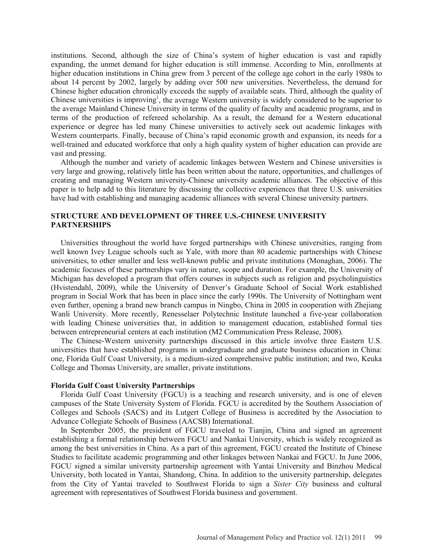institutions. Second, although the size of China's system of higher education is vast and rapidly expanding, the unmet demand for higher education is still immense. According to Min, enrollments at higher education institutions in China grew from 3 percent of the college age cohort in the early 1980s to about 14 percent by 2002, largely by adding over 500 new universities. Nevertheless, the demand for Chinese higher education chronically exceeds the supply of available seats. Third, although the quality of Chinese universities is improving<sup>1</sup>, the average Western university is widely considered to be superior to the average Mainland Chinese University in terms of the quality of faculty and academic programs, and in terms of the production of refereed scholarship. As a result, the demand for a Western educational experience or degree has led many Chinese universities to actively seek out academic linkages with Western counterparts. Finally, because of China's rapid economic growth and expansion, its needs for a well-trained and educated workforce that only a high quality system of higher education can provide are vast and pressing.

Although the number and variety of academic linkages between Western and Chinese universities is very large and growing, relatively little has been written about the nature, opportunities, and challenges of creating and managing Western university-Chinese university academic alliances. The objective of this paper is to help add to this literature by discussing the collective experiences that three U.S. universities have had with establishing and managing academic alliances with several Chinese university partners.

## **STRUCTURE AND DEVELOPMENT OF THREE U.S.-CHINESE UNIVERSITY PARTNERSHIPS**

Universities throughout the world have forged partnerships with Chinese universities, ranging from well known Ivey League schools such as Yale, with more than 80 academic partnerships with Chinese universities, to other smaller and less well-known public and private institutions (Monaghan, 2006). The academic focuses of these partnerships vary in nature, scope and duration. For example, the University of Michigan has developed a program that offers courses in subjects such as religion and psycholinguistics (Hvistendahl, 2009), while the University of Denver's Graduate School of Social Work established program in Social Work that has been in place since the early 1990s. The University of Nottingham went even further, opening a brand new branch campus in Ningbo, China in 2005 in cooperation with Zhejiang Wanli University. More recently, Renesselaer Polytechnic Institute launched a five-year collaboration with leading Chinese universities that, in addition to management education, established formal ties between entrepreneurial centers at each institution (M2 Communication Press Release, 2008).

The Chinese-Western university partnerships discussed in this article involve three Eastern U.S. universities that have established programs in undergraduate and graduate business education in China: one, Florida Gulf Coast University, is a medium-sized comprehensive public institution; and two, Keuka College and Thomas University, are smaller, private institutions.

#### **Florida Gulf Coast University Partnerships**

Florida Gulf Coast University (FGCU) is a teaching and research university, and is one of eleven campuses of the State University System of Florida. FGCU is accredited by the Southern Association of Colleges and Schools (SACS) and its Lutgert College of Business is accredited by the Association to Advance Collegiate Schools of Business (AACSB) International.

In September 2005, the president of FGCU traveled to Tianjin, China and signed an agreement establishing a formal relationship between FGCU and Nankai University, which is widely recognized as among the best universities in China. As a part of this agreement, FGCU created the Institute of Chinese Studies to facilitate academic programming and other linkages between Nankai and FGCU. In June 2006, FGCU signed a similar university partnership agreement with Yantai University and Binzhou Medical University, both located in Yantai, Shandong, China. In addition to the university partnership, delegates from the City of Yantai traveled to Southwest Florida to sign a *Sister City* business and cultural agreement with representatives of Southwest Florida business and government.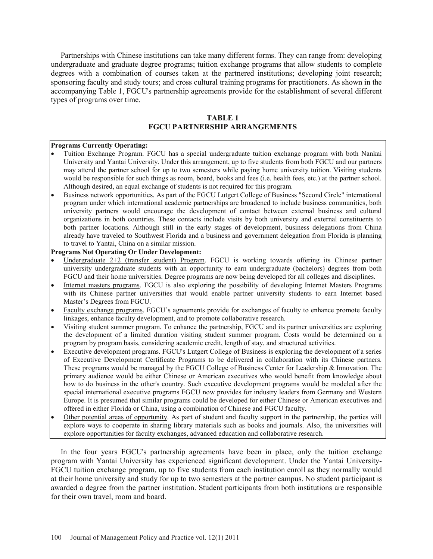Partnerships with Chinese institutions can take many different forms. They can range from: developing undergraduate and graduate degree programs; tuition exchange programs that allow students to complete degrees with a combination of courses taken at the partnered institutions; developing joint research; sponsoring faculty and study tours; and cross cultural training programs for practitioners. As shown in the accompanying Table 1, FGCU's partnership agreements provide for the establishment of several different types of programs over time.

## **TABLE 1 FGCU PARTNERSHIP ARRANGEMENTS**

#### **Programs Currently Operating:**

- Tuition Exchange Program. FGCU has a special undergraduate tuition exchange program with both Nankai University and Yantai University. Under this arrangement, up to five students from both FGCU and our partners may attend the partner school for up to two semesters while paying home university tuition. Visiting students would be responsible for such things as room, board, books and fees (i.e. health fees, etc.) at the partner school. Although desired, an equal exchange of students is not required for this program.
- $\bullet$ Business network opportunities . As part of the FGCU Lutgert College of Business "Second Circle" international program under which international academic partnerships are broadened to include business communities, both university partners would encourage the development of contact between external business and cultural organizations in both countries. These contacts include visits by both university and external constituents to both partner locations. Although still in the early stages of development, business delegations from China already have traveled to Southwest Florida and a business and government delegation from Florida is planning to travel to Yantai, China on a similar mission.

#### **Programs Not Operating Or Under Development:**

- Undergraduate  $2+2$  (transfer student) Program. FGCU is working towards offering its Chinese partner university undergraduate students with an opportunity to earn undergraduate (bachelors) degrees from both FGCU and their home universities. Degree programs are now being developed for all colleges and disciplines.
- $\bullet$ Internet masters programs . FGCU is also exploring the possibility of developing Internet Masters Programs with its Chinese partner universities that would enable partner university students to earn Internet based Master's Degrees from FGCU.
- $\bullet$ Faculty exchange programs. FGCU's agreements provide for exchanges of faculty to enhance promote faculty linkages, enhance faculty development, and to promote collaborative research.
- $\bullet$ Visiting student summer program . To enhance the partnership, FGCU and its partner universities are exploring the development of a limited duration visiting student summer program. Costs would be determined on a program by program basis, considering academic credit, length of stay, and structured activities.
- $\bullet$ Executive development programs. FGCU's Lutgert College of Business is exploring the development of a series of Executive Development Certificate Programs to be delivered in collaboration with its Chinese partners. These programs would be managed by the FGCU College of Business Center for Leadership & Innovation. The primary audience would be either Chinese or American executives who would benefit from knowledge about how to do business in the other's country. Such executive development programs would be modeled after the special international executive programs FGCU now provides for industry leaders from Germany and Western Europe. It is presumed that similar programs could be developed for either Chinese or American executives and offered in either Florida or China, using a combination of Chinese and FGCU faculty.
- $\bullet$ Other potential areas of opportunity. As part of student and faculty support in the partnership, the parties will explore ways to cooperate in sharing library materials such as books and journals. Also, the universities will explore opportunities for faculty exchanges, advanced education and collaborative research.

In the four years FGCU's partnership agreements have been in place, only the tuition exchange program with Yantai University has experienced significant development. Under the Yantai University-FGCU tuition exchange program, up to five students from each institution enroll as they normally would at their home university and study for up to two semesters at the partner campus. No student participant is awarded a degree from the partner institution. Student participants from both institutions are responsible for their own travel, room and board.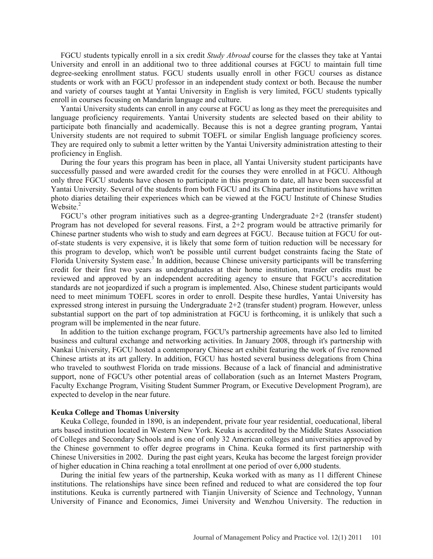FGCU students typically enroll in a six credit *Study Abroad* course for the classes they take at Yantai University and enroll in an additional two to three additional courses at FGCU to maintain full time degree-seeking enrollment status. FGCU students usually enroll in other FGCU courses as distance students or work with an FGCU professor in an independent study context or both. Because the number and variety of courses taught at Yantai University in English is very limited, FGCU students typically enroll in courses focusing on Mandarin language and culture.

Yantai University students can enroll in any course at FGCU as long as they meet the prerequisites and language proficiency requirements. Yantai University students are selected based on their ability to participate both financially and academically. Because this is not a degree granting program, Yantai University students are not required to submit TOEFL or similar English language proficiency scores. They are required only to submit a letter written by the Yantai University administration attesting to their proficiency in English.

During the four years this program has been in place, all Yantai University student participants have successfully passed and were awarded credit for the courses they were enrolled in at FGCU. Although only three FGCU students have chosen to participate in this program to date, all have been successful at Yantai University. Several of the students from both FGCU and its China partner institutions have written photo diaries detailing their experiences which can be viewed at the FGCU Institute of Chinese Studies Website.<sup>2</sup>

FGCU's other program initiatives such as a degree-granting Undergraduate 2+2 (transfer student) Program has not developed for several reasons. First, a 2+2 program would be attractive primarily for Chinese partner students who wish to study and earn degrees at FGCU. Because tuition at FGCU for outof-state students is very expensive, it is likely that some form of tuition reduction will be necessary for this program to develop, which won't be possible until current budget constraints facing the State of Florida University System ease.<sup>3</sup> In addition, because Chinese university participants will be transferring credit for their first two years as undergraduates at their home institution, transfer credits must be reviewed and approved by an independent accrediting agency to ensure that FGCU's accreditation standards are not jeopardized if such a program is implemented. Also, Chinese student participants would need to meet minimum TOEFL scores in order to enroll. Despite these hurdles, Yantai University has expressed strong interest in pursuing the Undergraduate 2+2 (transfer student) program. However, unless substantial support on the part of top administration at FGCU is forthcoming, it is unlikely that such a program will be implemented in the near future.

In addition to the tuition exchange program, FGCU's partnership agreements have also led to limited business and cultural exchange and networking activities. In January 2008, through it's partnership with Nankai University, FGCU hosted a contemporary Chinese art exhibit featuring the work of five renowned Chinese artists at its art gallery. In addition, FGCU has hosted several business delegations from China who traveled to southwest Florida on trade missions. Because of a lack of financial and administrative support, none of FGCU's other potential areas of collaboration (such as an Internet Masters Program, Faculty Exchange Program, Visiting Student Summer Program, or Executive Development Program), are expected to develop in the near future.

#### **Keuka College and Thomas University**

Keuka College, founded in 1890, is an independent, private four year residential, coeducational, liberal arts based institution located in Western New York. Keuka is accredited by the Middle States Association of Colleges and Secondary Schools and is one of only 32 American colleges and universities approved by the Chinese government to offer degree programs in China. Keuka formed its first partnership with Chinese Universities in 2002. During the past eight years, Keuka has become the largest foreign provider of higher education in China reaching a total enrollment at one period of over 6,000 students.

During the initial few years of the partnership, Keuka worked with as many as 11 different Chinese institutions. The relationships have since been refined and reduced to what are considered the top four institutions. Keuka is currently partnered with Tianjin University of Science and Technology, Yunnan University of Finance and Economics, Jimei University and Wenzhou University. The reduction in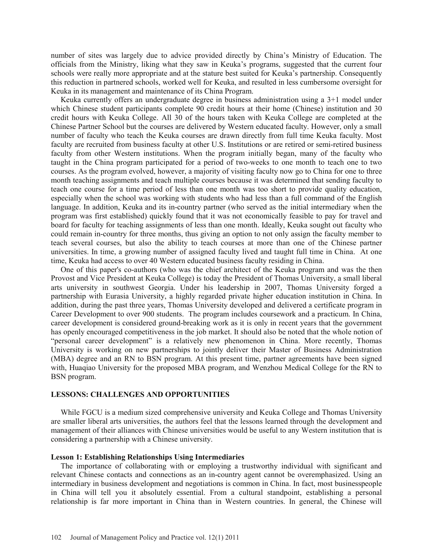number of sites was largely due to advice provided directly by China's Ministry of Education. The officials from the Ministry, liking what they saw in Keuka's programs, suggested that the current four schools were really more appropriate and at the stature best suited for Keuka's partnership. Consequently this reduction in partnered schools, worked well for Keuka, and resulted in less cumbersome oversight for Keuka in its management and maintenance of its China Program.

Keuka currently offers an undergraduate degree in business administration using a 3+1 model under which Chinese student participants complete 90 credit hours at their home (Chinese) institution and 30 credit hours with Keuka College. All 30 of the hours taken with Keuka College are completed at the Chinese Partner School but the courses are delivered by Western educated faculty. However, only a small number of faculty who teach the Keuka courses are drawn directly from full time Keuka faculty. Most faculty are recruited from business faculty at other U.S. Institutions or are retired or semi-retired business faculty from other Western institutions. When the program initially began, many of the faculty who taught in the China program participated for a period of two-weeks to one month to teach one to two courses. As the program evolved, however, a majority of visiting faculty now go to China for one to three month teaching assignments and teach multiple courses because it was determined that sending faculty to teach one course for a time period of less than one month was too short to provide quality education, especially when the school was working with students who had less than a full command of the English language. In addition, Keuka and its in-country partner (who served as the initial intermediary when the program was first established) quickly found that it was not economically feasible to pay for travel and board for faculty for teaching assignments of less than one month. Ideally, Keuka sought out faculty who could remain in-country for three months, thus giving an option to not only assign the faculty member to teach several courses, but also the ability to teach courses at more than one of the Chinese partner universities. In time, a growing number of assigned faculty lived and taught full time in China. At one time, Keuka had access to over 40 Western educated business faculty residing in China.

One of this paper's co-authors (who was the chief architect of the Keuka program and was the then Provost and Vice President at Keuka College) is today the President of Thomas University, a small liberal arts university in southwest Georgia. Under his leadership in 2007, Thomas University forged a partnership with Eurasia University, a highly regarded private higher education institution in China. In addition, during the past three years, Thomas University developed and delivered a certificate program in Career Development to over 900 students. The program includes coursework and a practicum. In China, career development is considered ground-breaking work as it is only in recent years that the government has openly encouraged competitiveness in the job market. It should also be noted that the whole notion of "personal career development" is a relatively new phenomenon in China. More recently, Thomas University is working on new partnerships to jointly deliver their Master of Business Administration (MBA) degree and an RN to BSN program. At this present time, partner agreements have been signed with, Huaqiao University for the proposed MBA program, and Wenzhou Medical College for the RN to BSN program.

## **LESSONS: CHALLENGES AND OPPORTUNITIES**

While FGCU is a medium sized comprehensive university and Keuka College and Thomas University are smaller liberal arts universities, the authors feel that the lessons learned through the development and management of their alliances with Chinese universities would be useful to any Western institution that is considering a partnership with a Chinese university.

#### **Lesson 1: Establishing Relationships Using Intermediaries**

The importance of collaborating with or employing a trustworthy individual with significant and relevant Chinese contacts and connections as an in-country agent cannot be overemphasized. Using an intermediary in business development and negotiations is common in China. In fact, most businesspeople in China will tell you it absolutely essential. From a cultural standpoint, establishing a personal relationship is far more important in China than in Western countries. In general, the Chinese will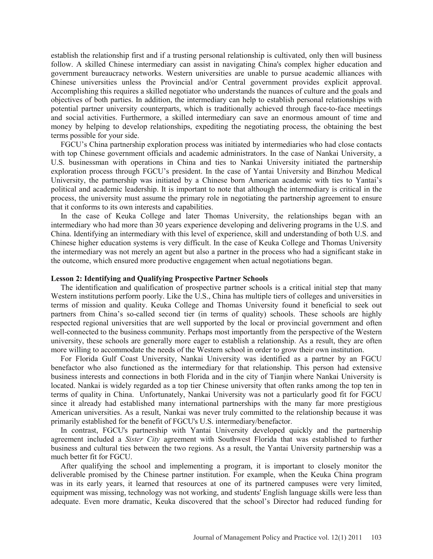establish the relationship first and if a trusting personal relationship is cultivated, only then will business follow. A skilled Chinese intermediary can assist in navigating China's complex higher education and government bureaucracy networks. Western universities are unable to pursue academic alliances with Chinese universities unless the Provincial and/or Central government provides explicit approval. Accomplishing this requires a skilled negotiator who understands the nuances of culture and the goals and objectives of both parties. In addition, the intermediary can help to establish personal relationships with potential partner university counterparts, which is traditionally achieved through face-to-face meetings and social activities. Furthermore, a skilled intermediary can save an enormous amount of time and money by helping to develop relationships, expediting the negotiating process, the obtaining the best terms possible for your side.

FGCU's China partnership exploration process was initiated by intermediaries who had close contacts with top Chinese government officials and academic administrators. In the case of Nankai University, a U.S. businessman with operations in China and ties to Nankai University initiated the partnership exploration process through FGCU's president. In the case of Yantai University and Binzhou Medical University, the partnership was initiated by a Chinese born American academic with ties to Yantai's political and academic leadership. It is important to note that although the intermediary is critical in the process, the university must assume the primary role in negotiating the partnership agreement to ensure that it conforms to its own interests and capabilities.

In the case of Keuka College and later Thomas University, the relationships began with an intermediary who had more than 30 years experience developing and delivering programs in the U.S. and China. Identifying an intermediary with this level of experience, skill and understanding of both U.S. and Chinese higher education systems is very difficult. In the case of Keuka College and Thomas University the intermediary was not merely an agent but also a partner in the process who had a significant stake in the outcome, which ensured more productive engagement when actual negotiations began.

#### **Lesson 2: Identifying and Qualifying Prospective Partner Schools**

The identification and qualification of prospective partner schools is a critical initial step that many Western institutions perform poorly. Like the U.S., China has multiple tiers of colleges and universities in terms of mission and quality. Keuka College and Thomas University found it beneficial to seek out partners from China's so-called second tier (in terms of quality) schools. These schools are highly respected regional universities that are well supported by the local or provincial government and often well-connected to the business community. Perhaps most importantly from the perspective of the Western university, these schools are generally more eager to establish a relationship. As a result, they are often more willing to accommodate the needs of the Western school in order to grow their own institution.

For Florida Gulf Coast University, Nankai University was identified as a partner by an FGCU benefactor who also functioned as the intermediary for that relationship. This person had extensive business interests and connections in both Florida and in the city of Tianjin where Nankai University is located. Nankai is widely regarded as a top tier Chinese university that often ranks among the top ten in terms of quality in China. Unfortunately, Nankai University was not a particularly good fit for FGCU since it already had established many international partnerships with the many far more prestigious American universities. As a result, Nankai was never truly committed to the relationship because it was primarily established for the benefit of FGCU's U.S. intermediary/benefactor.

In contrast, FGCU's partnership with Yantai University developed quickly and the partnership agreement included a *Sister City* agreement with Southwest Florida that was established to further business and cultural ties between the two regions. As a result, the Yantai University partnership was a much better fit for FGCU.

After qualifying the school and implementing a program, it is important to closely monitor the deliverable promised by the Chinese partner institution. For example, when the Keuka China program was in its early years, it learned that resources at one of its partnered campuses were very limited, equipment was missing, technology was not working, and students' English language skills were less than adequate. Even more dramatic, Keuka discovered that the school's Director had reduced funding for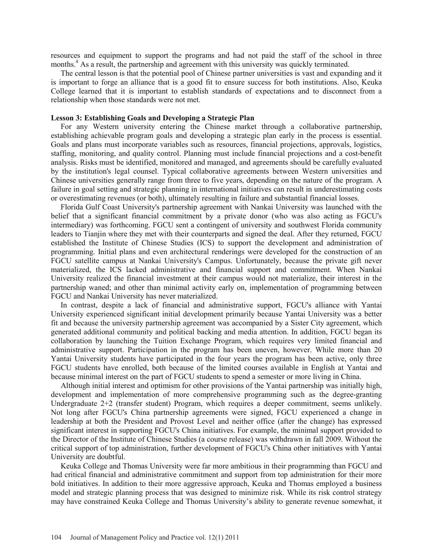resources and equipment to support the programs and had not paid the staff of the school in three months.<sup>4</sup> As a result, the partnership and agreement with this university was quickly terminated.

The central lesson is that the potential pool of Chinese partner universities is vast and expanding and it is important to forge an alliance that is a good fit to ensure success for both institutions. Also, Keuka College learned that it is important to establish standards of expectations and to disconnect from a relationship when those standards were not met.

### **Lesson 3: Establishing Goals and Developing a Strategic Plan**

For any Western university entering the Chinese market through a collaborative partnership, establishing achievable program goals and developing a strategic plan early in the process is essential. Goals and plans must incorporate variables such as resources, financial projections, approvals, logistics, staffing, monitoring, and quality control. Planning must include financial projections and a cost-benefit analysis. Risks must be identified, monitored and managed, and agreements should be carefully evaluated by the institution's legal counsel. Typical collaborative agreements between Western universities and Chinese universities generally range from three to five years, depending on the nature of the program. A failure in goal setting and strategic planning in international initiatives can result in underestimating costs or overestimating revenues (or both), ultimately resulting in failure and substantial financial losses.

Florida Gulf Coast University's partnership agreement with Nankai University was launched with the belief that a significant financial commitment by a private donor (who was also acting as FGCU's intermediary) was forthcoming. FGCU sent a contingent of university and southwest Florida community leaders to Tianjin where they met with their counterparts and signed the deal. After they returned, FGCU established the Institute of Chinese Studies (ICS) to support the development and administration of programming. Initial plans and even architectural renderings were developed for the construction of an FGCU satellite campus at Nankai University's Campus. Unfortunately, because the private gift never materialized, the ICS lacked administrative and financial support and commitment. When Nankai University realized the financial investment at their campus would not materialize, their interest in the partnership waned; and other than minimal activity early on, implementation of programming between FGCU and Nankai University has never materialized.

In contrast, despite a lack of financial and administrative support, FGCU's alliance with Yantai University experienced significant initial development primarily because Yantai University was a better fit and because the university partnership agreement was accompanied by a Sister City agreement, which generated additional community and political backing and media attention. In addition, FGCU began its collaboration by launching the Tuition Exchange Program, which requires very limited financial and administrative support. Participation in the program has been uneven, however. While more than 20 Yantai University students have participated in the four years the program has been active, only three FGCU students have enrolled, both because of the limited courses available in English at Yantai and because minimal interest on the part of FGCU students to spend a semester or more living in China.

Although initial interest and optimism for other provisions of the Yantai partnership was initially high, development and implementation of more comprehensive programming such as the degree-granting Undergraduate 2+2 (transfer student) Program, which requires a deeper commitment, seems unlikely. Not long after FGCU's China partnership agreements were signed, FGCU experienced a change in leadership at both the President and Provost Level and neither office (after the change) has expressed significant interest in supporting FGCU's China initiatives. For example, the minimal support provided to the Director of the Institute of Chinese Studies (a course release) was withdrawn in fall 2009. Without the critical support of top administration, further development of FGCU's China other initiatives with Yantai University are doubtful.

Keuka College and Thomas University were far more ambitious in their programming than FGCU and had critical financial and administrative commitment and support from top administration for their more bold initiatives. In addition to their more aggressive approach, Keuka and Thomas employed a business model and strategic planning process that was designed to minimize risk. While its risk control strategy may have constrained Keuka College and Thomas University's ability to generate revenue somewhat, it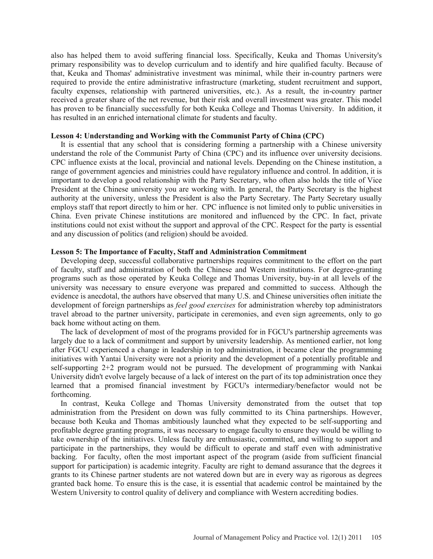also has helped them to avoid suffering financial loss. Specifically, Keuka and Thomas University's primary responsibility was to develop curriculum and to identify and hire qualified faculty. Because of that, Keuka and Thomas' administrative investment was minimal, while their in-country partners were required to provide the entire administrative infrastructure (marketing, student recruitment and support, faculty expenses, relationship with partnered universities, etc.). As a result, the in-country partner received a greater share of the net revenue, but their risk and overall investment was greater. This model has proven to be financially successfully for both Keuka College and Thomas University. In addition, it has resulted in an enriched international climate for students and faculty.

## **Lesson 4: Understanding and Working with the Communist Party of China (CPC)**

It is essential that any school that is considering forming a partnership with a Chinese university understand the role of the Communist Party of China (CPC) and its influence over university decisions. CPC influence exists at the local, provincial and national levels. Depending on the Chinese institution, a range of government agencies and ministries could have regulatory influence and control. In addition, it is important to develop a good relationship with the Party Secretary, who often also holds the title of Vice President at the Chinese university you are working with. In general, the Party Secretary is the highest authority at the university, unless the President is also the Party Secretary. The Party Secretary usually employs staff that report directly to him or her. CPC influence is not limited only to public universities in China. Even private Chinese institutions are monitored and influenced by the CPC. In fact, private institutions could not exist without the support and approval of the CPC. Respect for the party is essential and any discussion of politics (and religion) should be avoided.

## **Lesson 5: The Importance of Faculty, Staff and Administration Commitment**

Developing deep, successful collaborative partnerships requires commitment to the effort on the part of faculty, staff and administration of both the Chinese and Western institutions. For degree-granting programs such as those operated by Keuka College and Thomas University, buy-in at all levels of the university was necessary to ensure everyone was prepared and committed to success. Although the evidence is anecdotal, the authors have observed that many U.S. and Chinese universities often initiate the development of foreign partnerships as *feel good exercises* for administration whereby top administrators travel abroad to the partner university, participate in ceremonies, and even sign agreements, only to go back home without acting on them.

The lack of development of most of the programs provided for in FGCU's partnership agreements was largely due to a lack of commitment and support by university leadership. As mentioned earlier, not long after FGCU experienced a change in leadership in top administration, it became clear the programming initiatives with Yantai University were not a priority and the development of a potentially profitable and self-supporting 2+2 program would not be pursued. The development of programming with Nankai University didn't evolve largely because of a lack of interest on the part of its top administration once they learned that a promised financial investment by FGCU's intermediary/benefactor would not be forthcoming.

In contrast, Keuka College and Thomas University demonstrated from the outset that top administration from the President on down was fully committed to its China partnerships. However, because both Keuka and Thomas ambitiously launched what they expected to be self-supporting and profitable degree granting programs, it was necessary to engage faculty to ensure they would be willing to take ownership of the initiatives. Unless faculty are enthusiastic, committed, and willing to support and participate in the partnerships, they would be difficult to operate and staff even with administrative backing. For faculty, often the most important aspect of the program (aside from sufficient financial support for participation) is academic integrity. Faculty are right to demand assurance that the degrees it grants to its Chinese partner students are not watered down but are in every way as rigorous as degrees granted back home. To ensure this is the case, it is essential that academic control be maintained by the Western University to control quality of delivery and compliance with Western accrediting bodies.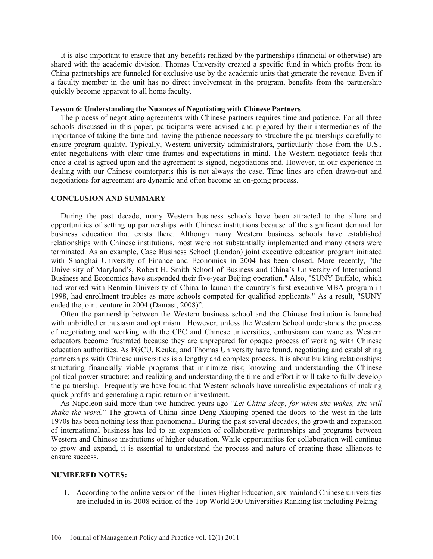It is also important to ensure that any benefits realized by the partnerships (financial or otherwise) are shared with the academic division. Thomas University created a specific fund in which profits from its China partnerships are funneled for exclusive use by the academic units that generate the revenue. Even if a faculty member in the unit has no direct involvement in the program, benefits from the partnership quickly become apparent to all home faculty.

### **Lesson 6: Understanding the Nuances of Negotiating with Chinese Partners**

The process of negotiating agreements with Chinese partners requires time and patience. For all three schools discussed in this paper, participants were advised and prepared by their intermediaries of the importance of taking the time and having the patience necessary to structure the partnerships carefully to ensure program quality. Typically, Western university administrators, particularly those from the U.S., enter negotiations with clear time frames and expectations in mind. The Western negotiator feels that once a deal is agreed upon and the agreement is signed, negotiations end. However, in our experience in dealing with our Chinese counterparts this is not always the case. Time lines are often drawn-out and negotiations for agreement are dynamic and often become an on-going process.

## **CONCLUSION AND SUMMARY**

During the past decade, many Western business schools have been attracted to the allure and opportunities of setting up partnerships with Chinese institutions because of the significant demand for business education that exists there. Although many Western business schools have established relationships with Chinese institutions, most were not substantially implemented and many others were terminated. As an example, Case Business School (London) joint executive education program initiated with Shanghai University of Finance and Economics in 2004 has been closed. More recently, "the University of Maryland's, Robert H. Smith School of Business and China's University of International Business and Economics have suspended their five-year Beijing operation." Also, "SUNY Buffalo, which had worked with Renmin University of China to launch the country's first executive MBA program in 1998, had enrollment troubles as more schools competed for qualified applicants." As a result, "SUNY ended the joint venture in 2004 (Damast, 2008)".

Often the partnership between the Western business school and the Chinese Institution is launched with unbridled enthusiasm and optimism. However, unless the Western School understands the process of negotiating and working with the CPC and Chinese universities, enthusiasm can wane as Western educators become frustrated because they are unprepared for opaque process of working with Chinese education authorities. As FGCU, Keuka, and Thomas University have found, negotiating and establishing partnerships with Chinese universities is a lengthy and complex process. It is about building relationships; structuring financially viable programs that minimize risk; knowing and understanding the Chinese political power structure; and realizing and understanding the time and effort it will take to fully develop the partnership. Frequently we have found that Western schools have unrealistic expectations of making quick profits and generating a rapid return on investment.

As Napoleon said more than two hundred years ago "*Let China sleep, for when she wakes, she will shake the word.*" The growth of China since Deng Xiaoping opened the doors to the west in the late 1970s has been nothing less than phenomenal. During the past several decades, the growth and expansion of international business has led to an expansion of collaborative partnerships and programs between Western and Chinese institutions of higher education. While opportunities for collaboration will continue to grow and expand, it is essential to understand the process and nature of creating these alliances to ensure success.

#### **NUMBERED NOTES:**

1. According to the online version of the Times Higher Education, six mainland Chinese universities are included in its 2008 edition of the Top World 200 Universities Ranking list including Peking